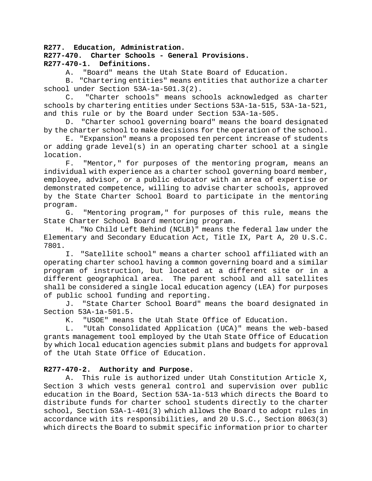**R277. Education, Administration.**

# **R277-470. Charter Schools - General Provisions.** Definitions.

A. "Board" means the Utah State Board of Education.

B. "Chartering entities" means entities that authorize a charter school under Section 53A-1a-501.3(2).

C. "Charter schools" means schools acknowledged as charter schools by chartering entities under Sections 53A-1a-515, 53A-1a-521, and this rule or by the Board under Section 53A-1a-505.

D. "Charter school governing board" means the board designated by the charter school to make decisions for the operation of the school.

E. "Expansion" means a proposed ten percent increase of students or adding grade level(s) in an operating charter school at a single location.<br>F.

"Mentor," for purposes of the mentoring program, means an individual with experience as a charter school governing board member, employee, advisor, or a public educator with an area of expertise or demonstrated competence, willing to advise charter schools, approved by the State Charter School Board to participate in the mentoring program.

G. "Mentoring program," for purposes of this rule, means the State Charter School Board mentoring program.

H. "No Child Left Behind (NCLB)" means the federal law under the Elementary and Secondary Education Act, Title IX, Part A, 20 U.S.C. 7801.

I. "Satellite school" means a charter school affiliated with an operating charter school having a common governing board and a similar program of instruction, but located at a different site or in a different geographical area. The parent school and all satellites shall be considered a single local education agency (LEA) for purposes of public school funding and reporting.

J. "State Charter School Board" means the board designated in Section 53A-1a-501.5.<br>K. "USOE" means

"USOE" means the Utah State Office of Education.

L. "Utah Consolidated Application (UCA)" means the web-based grants management tool employed by the Utah State Office of Education by which local education agencies submit plans and budgets for approval of the Utah State Office of Education.

# **R277-470-2. Authority and Purpose.**

A. This rule is authorized under Utah Constitution Article X, Section 3 which vests general control and supervision over public education in the Board, Section 53A-1a-513 which directs the Board to distribute funds for charter school students directly to the charter school, Section 53A-1-401(3) which allows the Board to adopt rules in accordance with its responsibilities, and 20 U.S.C., Section 8063(3) which directs the Board to submit specific information prior to charter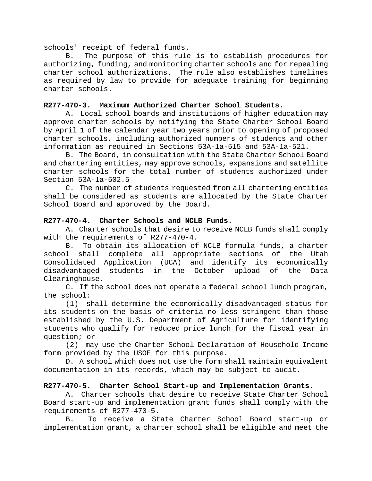schools' receipt of federal funds.

B. The purpose of this rule is to establish procedures for authorizing, funding, and monitoring charter schools and for repealing charter school authorizations. The rule also establishes timelines as required by law to provide for adequate training for beginning charter schools.

#### **R277-470-3. Maximum Authorized Charter School Students.**

A. Local school boards and institutions of higher education may approve charter schools by notifying the State Charter School Board by April 1 of the calendar year two years prior to opening of proposed charter schools, including authorized numbers of students and other information as required in Sections 53A-1a-515 and 53A-1a-521.

B. The Board, in consultation with the State Charter School Board and chartering entities, may approve schools, expansions and satellite charter schools for the total number of students authorized under Section 53A-1a-502.5

C. The number of students requested from all chartering entities shall be considered as students are allocated by the State Charter School Board and approved by the Board.

#### **R277-470-4. Charter Schools and NCLB Funds.**

A. Charter schools that desire to receive NCLB funds shall comply with the requirements of R277-470-4.

B. To obtain its allocation of NCLB formula funds, a charter school shall complete all appropriate sections of the Utah Consolidated Application (UCA) and identify its economically disadvantaged students in the October upload of the Data Clearinghouse.

C. If the school does not operate a federal school lunch program, the school:

(1) shall determine the economically disadvantaged status for its students on the basis of criteria no less stringent than those established by the U.S. Department of Agriculture for identifying students who qualify for reduced price lunch for the fiscal year in question; or

(2) may use the Charter School Declaration of Household Income form provided by the USOE for this purpose.

D. A school which does not use the form shall maintain equivalent documentation in its records, which may be subject to audit.

### **R277-470-5. Charter School Start-up and Implementation Grants.**

A. Charter schools that desire to receive State Charter School Board start-up and implementation grant funds shall comply with the requirements of R277-470-5.

B. To receive a State Charter School Board start-up or implementation grant, a charter school shall be eligible and meet the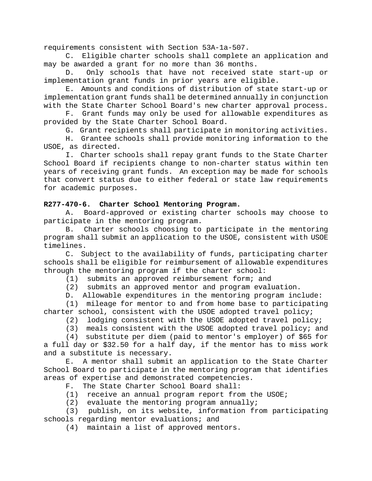requirements consistent with Section 53A-1a-507.

C. Eligible charter schools shall complete an application and may be awarded a grant for no more than 36 months.

D. Only schools that have not received state start-up or implementation grant funds in prior years are eligible.

E. Amounts and conditions of distribution of state start-up or implementation grant funds shall be determined annually in conjunction with the State Charter School Board's new charter approval process.

F. Grant funds may only be used for allowable expenditures as provided by the State Charter School Board.

G. Grant recipients shall participate in monitoring activities.

H. Grantee schools shall provide monitoring information to the USOE, as directed.

I. Charter schools shall repay grant funds to the State Charter School Board if recipients change to non-charter status within ten years of receiving grant funds. An exception may be made for schools that convert status due to either federal or state law requirements for academic purposes.

### **R277-470-6. Charter School Mentoring Program.**

A. Board-approved or existing charter schools may choose to participate in the mentoring program.

B. Charter schools choosing to participate in the mentoring program shall submit an application to the USOE, consistent with USOE timelines.

C. Subject to the availability of funds, participating charter schools shall be eligible for reimbursement of allowable expenditures through the mentoring program if the charter school:

(1) submits an approved reimbursement form; and<br>(2) submits an approved mentor and program evalu

submits an approved mentor and program evaluation.

D. Allowable expenditures in the mentoring program include:

(1) mileage for mentor to and from home base to participating charter school, consistent with the USOE adopted travel policy;

(2) lodging consistent with the USOE adopted travel policy;

(3) meals consistent with the USOE adopted travel policy; and

(4) substitute per diem (paid to mentor's employer) of \$65 for a full day or \$32.50 for a half day, if the mentor has to miss work and a substitute is necessary.

E. A mentor shall submit an application to the State Charter School Board to participate in the mentoring program that identifies areas of expertise and demonstrated competencies.

F. The State Charter School Board shall:

- (1) receive an annual program report from the USOE;
- (2) evaluate the mentoring program annually;

(3) publish, on its website, information from participating schools regarding mentor evaluations; and

(4) maintain a list of approved mentors.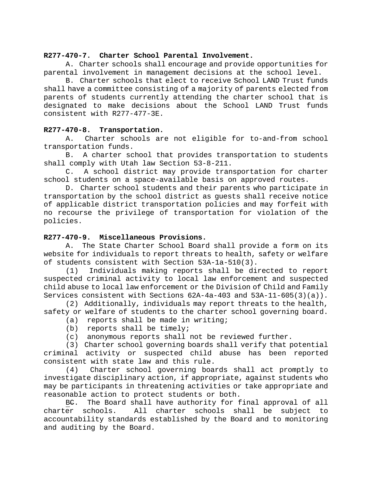### **R277-470-7. Charter School Parental Involvement.**

A. Charter schools shall encourage and provide opportunities for parental involvement in management decisions at the school level.

B. Charter schools that elect to receive School LAND Trust funds shall have a committee consisting of a majority of parents elected from parents of students currently attending the charter school that is designated to make decisions about the School LAND Trust funds consistent with R277-477-3E.

### **R277-470-8. Transportation.**

A. Charter schools are not eligible for to-and-from school transportation funds.

B. A charter school that provides transportation to students shall comply with Utah law Section 53-8-211.

C. A school district may provide transportation for charter school students on a space-available basis on approved routes.

D. Charter school students and their parents who participate in transportation by the school district as guests shall receive notice of applicable district transportation policies and may forfeit with no recourse the privilege of transportation for violation of the policies.

### **R277-470-9. Miscellaneous Provisions.**

A. The State Charter School Board shall provide a form on its website for individuals to report threats to health, safety or welfare of students consistent with Section 53A-1a-510(3).<br>(1) Individuals making reports shall be di-

Individuals making reports shall be directed to report suspected criminal activity to local law enforcement and suspected child abuse to local law enforcement or the Division of Child and Family Services consistent with Sections 62A-4a-403 and 53A-11-605(3)(a)).

(2) Additionally, individuals may report threats to the health, safety or welfare of students to the charter school governing board.

- (a) reports shall be made in writing;
- (b) reports shall be timely;
- (c) anonymous reports shall not be reviewed further.

(3) Charter school governing boards shall verify that potential criminal activity or suspected child abuse has been reported consistent with state law and this rule.

(4) Charter school governing boards shall act promptly to investigate disciplinary action, if appropriate, against students who may be participants in threatening activities or take appropriate and reasonable action to protect students or both.

BC. The Board shall have authority for final approval of all charter schools. All charter schools shall be subject to All charter schools shall be subject accountability standards established by the Board and to monitoring and auditing by the Board.